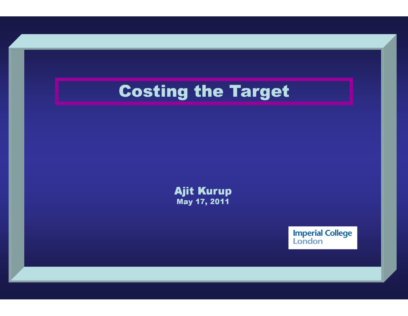Ajit Kurup May 17, 2011

**Imperial College**<br>London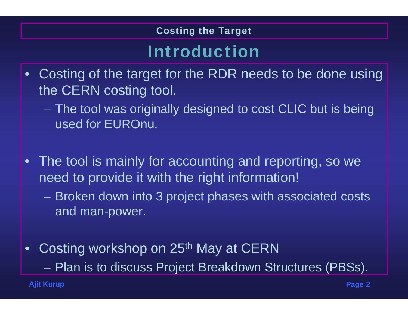### Introduction

- • Costing of the target for the RDR needs to be done using the CERN costing tool.
	- The tool was originally designed to cost CLIC but is being used for EUROnu.
- • The tool is mainly for accounting and reporting, so we need to provide it with the right information!
	- Broken down into 3 project phases with associated costs and man-power.
- •Costing workshop on 25<sup>th</sup> May at CERN Plan is to discuss Project Breakdown Structures (PBSs).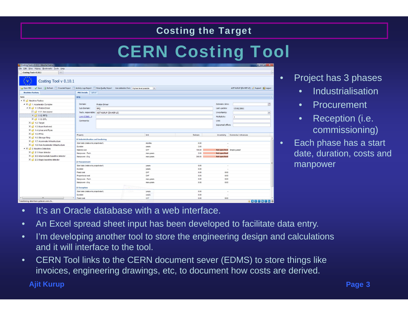## CERN Costing Tool

| Costing Tool v 0.10.1 - Mozilla Firefox                                                                                        |                                        |                                                                                                       |  |              |              |                              | $-0$ X                                      |  |
|--------------------------------------------------------------------------------------------------------------------------------|----------------------------------------|-------------------------------------------------------------------------------------------------------|--|--------------|--------------|------------------------------|---------------------------------------------|--|
| File Edit View History Bookmarks Tools Help                                                                                    |                                        |                                                                                                       |  |              |              |                              |                                             |  |
| $\rightarrow$<br>Costing Tool v 0.10.1                                                                                         |                                        |                                                                                                       |  |              |              |                              |                                             |  |
| Costing Tool v 0.10.1                                                                                                          |                                        |                                                                                                       |  |              |              |                              |                                             |  |
| Save & Refresh Crosstab Report Activity Logs Report Data Quality Report Use estimates from: Highest level possible<br>Open PBS |                                        |                                                                                                       |  | $\mathbf{v}$ |              |                              | AJIT KURUP (EN-MEF-LE) [ Support (a) Logout |  |
| <b>Neutrino Factory</b>                                                                                                        |                                        | <b>PBS Details</b> Upload                                                                             |  |              |              |                              |                                             |  |
| Name                                                                                                                           | RFQ                                    |                                                                                                       |  |              |              |                              |                                             |  |
| $\triangleq \times \sqrt{3}$ Neutrino Factory                                                                                  |                                        |                                                                                                       |  |              |              |                              |                                             |  |
| $\overline{A} \times \overline{B}$ 1. Accelerator Complex                                                                      | Domain:                                | Proton Driver                                                                                         |  |              |              | Estimate date:               | $\Box$                                      |  |
| $\triangleq$ $\times$ $\triangleleft$ 1.1. Proton Driver                                                                       | Sub-Domain:                            | RFQ                                                                                                   |  |              |              | Last update:                 | 17/02/2011                                  |  |
| 1.1.1. Ion source                                                                                                              |                                        | Tech. responsible: AJIT KURUP (EN-MEF-LE)<br>Link (EDMS):                                             |  |              |              |                              | ×                                           |  |
| X 1.1.2 RFQ                                                                                                                    |                                        |                                                                                                       |  |              |              | Multiplicity:                |                                             |  |
| $X \bigcup$ 1.1.3. DTL                                                                                                         | Comments:                              |                                                                                                       |  |              |              | Unit:                        |                                             |  |
| $\times$ 1.2. Target                                                                                                           |                                        |                                                                                                       |  |              |              |                              |                                             |  |
| $\times$ 1.3. Muon front-end                                                                                                   |                                        |                                                                                                       |  |              |              | Expected offers:             |                                             |  |
| X 1.4. Linac and RLAs                                                                                                          |                                        |                                                                                                       |  |              |              |                              |                                             |  |
| X 1.5. FFAG                                                                                                                    | Property                               |                                                                                                       |  | Unit         | Estimate     | Uncertainty                  | Comments / references                       |  |
| X 1.6. Storage Ring                                                                                                            |                                        |                                                                                                       |  |              |              |                              |                                             |  |
| 1.7. Accelerator Infrastructure                                                                                                |                                        | <b>El Industrialisation and tendering</b><br>6.00<br>Start date (relative to project start)<br>months |  |              |              |                              |                                             |  |
| $\times$ 1.8. Non Accelerator Infrastructure                                                                                   | Duration<br>Material cost              |                                                                                                       |  | years        | 3.00         | $\hat{\phantom{a}}$          |                                             |  |
| $\triangleq$ $\times$ $\triangleq$ 2. Neutrino Detectors                                                                       |                                        |                                                                                                       |  | CHF          | 100.00       | Not specified! Simple guess! |                                             |  |
| $\times$ 3 2.1. Near detector                                                                                                  | Manpower - Tech.                       |                                                                                                       |  | man-years    | 2.00         | <b>Not specified!</b>        |                                             |  |
| $\times$ 2.2. Intermediate baseline detector                                                                                   | Manpower - Eng.                        |                                                                                                       |  | man-years    | 300.00       | <b>Not specified!</b>        |                                             |  |
| X 1 2.3. Magic baseline detector                                                                                               |                                        |                                                                                                       |  |              |              |                              |                                             |  |
|                                                                                                                                | <b>El Procurement</b>                  |                                                                                                       |  |              |              |                              |                                             |  |
|                                                                                                                                | Start date (relative to project start) |                                                                                                       |  | years        | 0.00         |                              |                                             |  |
|                                                                                                                                | Duration                               |                                                                                                       |  | years        | 0.00         | $\overline{\phantom{a}}$     |                                             |  |
|                                                                                                                                | Fixed cost<br>Proportional cost        |                                                                                                       |  | CHF<br>CHF   | 0.00<br>0.00 | 0.00<br>0.00                 |                                             |  |
|                                                                                                                                |                                        | Manpower - Tech.                                                                                      |  |              | 0.00         | 0.00                         |                                             |  |
|                                                                                                                                |                                        | Manpower - Eng.                                                                                       |  |              | 0.00         | 0.00                         |                                             |  |
|                                                                                                                                |                                        | man-years                                                                                             |  |              |              |                              |                                             |  |
|                                                                                                                                | <b>El Reception</b>                    |                                                                                                       |  |              |              |                              |                                             |  |
|                                                                                                                                | Start date (relative to project start) |                                                                                                       |  | years        | 0.00         | $\overline{\phantom{a}}$     |                                             |  |
| m                                                                                                                              | Duration                               |                                                                                                       |  | years        | 0.00         | $\sim$                       |                                             |  |
| $\mathbf{R}$<br>Transferring data from pptevm.cern.ch                                                                          | Fixed cost                             |                                                                                                       |  | CHF          | 0.00         | 0.00                         | 18008080                                    |  |

Project has 3 phases

•

- $\bullet$ Industrialisation
- $\bullet$ **Procurement**
- $\bullet$  Reception (i.e. commissioning)
- • Each phase has a start date, duration, costs and manpower

- •It's an Oracle database with a web interface.
- •An Excel spread sheet input has been developed to facilitate data entry.
- • I'm developing another tool to store the engineering design and calculations and it will interface to the tool.
- • CERN Tool links to the CERN document sever (EDMS) to store things like invoices, engineering drawings, etc, to document how costs are derived.

**Ajit Kurup**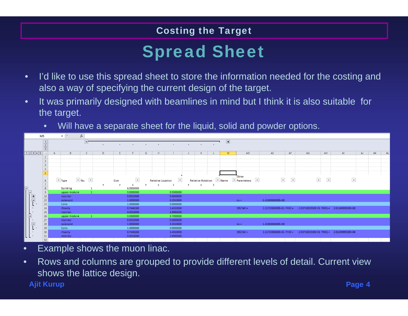## Spread Sheet

- • I'd like to use this spread sheet to store the information needed for the costing and also a way of specifying the current design of the target.
- • It was primarily designed with beamlines in mind but I think it is also suitable for the target.
	- •Will have a separate sheet for the liquid, solid and powder options.



- •Example shows the muon linac.
- • Rows and columns are grouped to provide different levels of detail. Current view shows the lattice design.

**Ajit Kurup**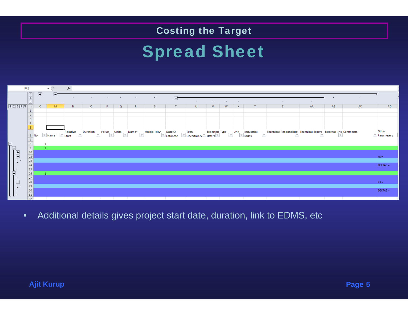## Spread Sheet



 $\bullet$ Additional details gives project start date, duration, link to EDMS, etc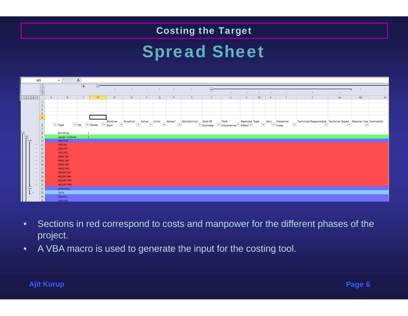## Spread Sheet



- • Sections in red correspond to costs and manpower for the different phases of the project.
- •A VBA macro is used to generate the input for the costing tool.